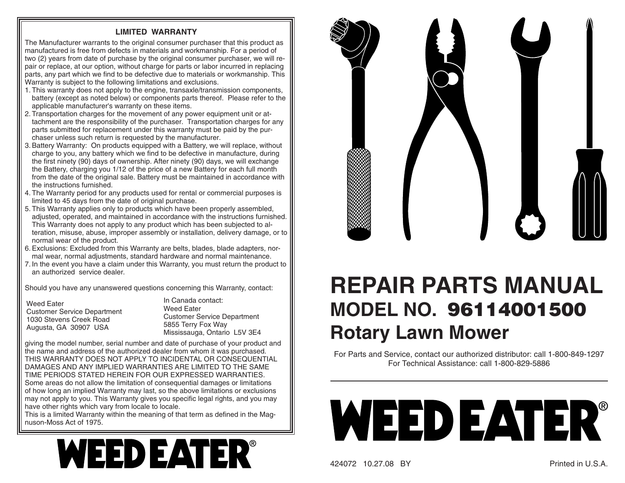## **LIMITED WARRANTY**

The Manufacturer warrants to the original consumer purchaser that this product as manufactured is free from defects in materials and workmanship. For a period of two (2) years from date of purchase by the original consumer purchaser, we will repair or replace, at our option, without charge for parts or labor incurred in replacing parts, any part which we find to be defective due to materials or work manship. This Warranty is subject to the following limitations and exclusions.

- 1. This warranty does not apply to the engine, transaxle/transmission components, battery (except as noted below) or components parts thereof. Please refer to the applicable manufacturer's warranty on these items.
- 2. Transportation charges for the movement of any power equipment unit or attachment are the responsibility of the purchaser. Transportation charges for any parts submitted for replacement under this warranty must be paid by the purchaser unless such return is requested by the manufacturer.
- 3. Battery Warranty: On products equipped with a Battery, we will replace, without charge to you, any battery which we find to be defective in manufacture, during the first ninety (90) days of ownership. After ninety (90) days, we will exchange the Battery, charging you 1/12 of the price of a new Battery for each full month from the date of the original sale. Battery must be maintained in accordance with the instructions furnished.
- 4. The Warranty period for any products used for rental or commercial purposes is limited to 45 days from the date of original purchase.
- 5. This Warranty applies only to products which have been properly assembled, adjusted, operated, and maintained in accordance with the instructions furnished. This Warranty does not apply to any product which has been subjected to alteration, misuse, abuse, improper assembly or installation, delivery damage, or to normal wear of the product.
- 6. Exclusions: Excluded from this Warranty are belts, blades, blade adapters, normal wear, normal adjustments, standard hardware and normal maintenance.
- 7. In the event you have a claim under this Warranty, you must return the product to an authorized service dealer.

Should you have any unanswered questions concerning this Warranty, contact:

| <b>Weed Eater</b>                  |
|------------------------------------|
| <b>Customer Service Department</b> |
| 1030 Stevens Creek Road            |
| Augusta, GA 30907 USA              |

In Canada contact:Weed EaterCustomer Service Department 5855 Terry Fox Way Mississauga, Ontario L5V 3E4

giving the model number, serial number and date of purchase of your product and the name and address of the authorized dealer from whom it was purchased. THIS WARRANTY DOES NOT APPLY TO INCIDENTAL OR CONSEQUENTIAL DAMAGES AND ANY IMPLIED WARRANTIES ARE LIMITED TO THE SAME TIME PERIODS STATED HEREIN FOR OUR EXPRESSED WARRANTIES. Some areas do not allow the limitation of consequential damages or limitations of how long an implied Warranty may last, so the above limitations or exclusions

may not apply to you. This Warranty gives you specific legal rights, and you may have other rights which vary from locale to locale. This is a limited Warranty within the meaning of that term as defined in the Mag-

nuson-Moss Act of 1975.





## **REPAIR PARTS MANUALMODEL NO. 96114001500Rotary Lawn Mower**

For Parts and Service, contact our authorized distributor: call 1-800-849-1297 For Technical Assistance: call 1-800-829-5886



424072 10.27.08 BY Printed in U.S.A.